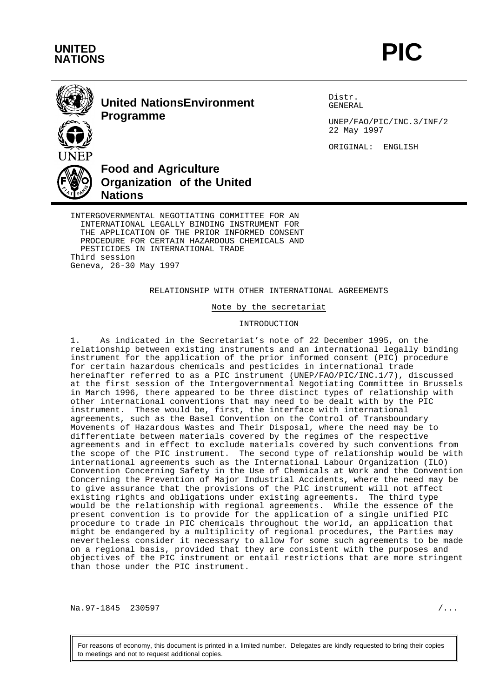



# **United NationsEnvironment Programme**

Distr. GENERAL

UNEP/FAO/PIC/INC.3/INF/2 22 May 1997

ORIGINAL: ENGLISH



INTERNATIONAL LEGALLY BINDING INSTRUMENT FOR THE APPLICATION OF THE PRIOR INFORMED CONSENT PROCEDURE FOR CERTAIN HAZARDOUS CHEMICALS AND PESTICIDES IN INTERNATIONAL TRADE Third session Geneva, 26-30 May 1997

#### RELATIONSHIP WITH OTHER INTERNATIONAL AGREEMENTS

Note by the secretariat

INTRODUCTION

1. As indicated in the Secretariat's note of 22 December 1995, on the relationship between existing instruments and an international legally binding instrument for the application of the prior informed consent (PIC) procedure for certain hazardous chemicals and pesticides in international trade hereinafter referred to as a PIC instrument (UNEP/FAO/PIC/INC.1/7), discussed at the first session of the Intergovernmental Negotiating Committee in Brussels in March 1996, there appeared to be three distinct types of relationship with other international conventions that may need to be dealt with by the PIC instrument. These would be, first, the interface with international agreements, such as the Basel Convention on the Control of Transboundary Movements of Hazardous Wastes and Their Disposal, where the need may be to differentiate between materials covered by the regimes of the respective agreements and in effect to exclude materials covered by such conventions from the scope of the PIC instrument. The second type of relationship would be with international agreements such as the International Labour Organization (ILO) Convention Concerning Safety in the Use of Chemicals at Work and the Convention Concerning the Prevention of Major Industrial Accidents, where the need may be to give assurance that the provisions of the PlC instrument will not affect existing rights and obligations under existing agreements. The third type would be the relationship with regional agreements. While the essence of the present convention is to provide for the application of a single unified PIC procedure to trade in PIC chemicals throughout the world, an application that might be endangered by a multiplicity of regional procedures, the Parties may nevertheless consider it necessary to allow for some such agreements to be made on a regional basis, provided that they are consistent with the purposes and objectives of the PIC instrument or entail restrictions that are more stringent than those under the PIC instrument.

Na.97-1845 230597 / ...

For reasons of economy, this document is printed in a limited number. Delegates are kindly requested to bring their copies to meetings and not to request additional copies.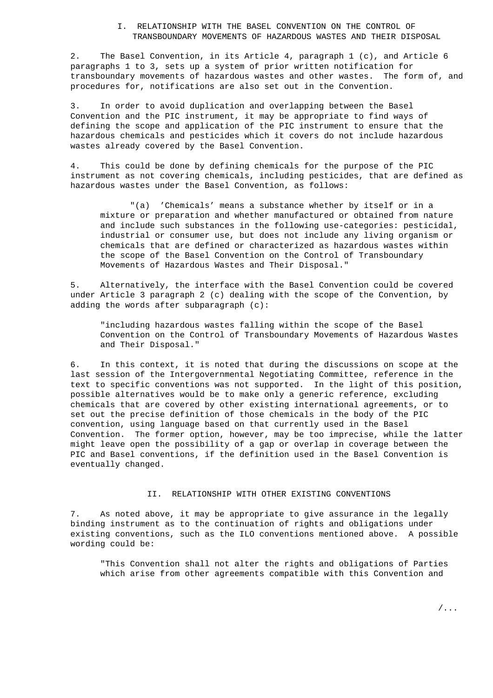#### I. RELATIONSHIP WITH THE BASEL CONVENTION ON THE CONTROL OF TRANSBOUNDARY MOVEMENTS OF HAZARDOUS WASTES AND THEIR DISPOSAL

2. The Basel Convention, in its Article 4, paragraph 1 (c), and Article 6 paragraphs 1 to 3, sets up a system of prior written notification for transboundary movements of hazardous wastes and other wastes. The form of, and procedures for, notifications are also set out in the Convention.

3. In order to avoid duplication and overlapping between the Basel Convention and the PIC instrument, it may be appropriate to find ways of defining the scope and application of the PIC instrument to ensure that the hazardous chemicals and pesticides which it covers do not include hazardous wastes already covered by the Basel Convention.

4. This could be done by defining chemicals for the purpose of the PIC instrument as not covering chemicals, including pesticides, that are defined as hazardous wastes under the Basel Convention, as follows:

"(a) 'Chemicals' means a substance whether by itself or in a mixture or preparation and whether manufactured or obtained from nature and include such substances in the following use-categories: pesticidal, industrial or consumer use, but does not include any living organism or chemicals that are defined or characterized as hazardous wastes within the scope of the Basel Convention on the Control of Transboundary Movements of Hazardous Wastes and Their Disposal."

5. Alternatively, the interface with the Basel Convention could be covered under Article 3 paragraph 2 (c) dealing with the scope of the Convention, by adding the words after subparagraph (c):

"including hazardous wastes falling within the scope of the Basel Convention on the Control of Transboundary Movements of Hazardous Wastes and Their Disposal."

6. In this context, it is noted that during the discussions on scope at the last session of the Intergovernmental Negotiating Committee, reference in the text to specific conventions was not supported. In the light of this position, possible alternatives would be to make only a generic reference, excluding chemicals that are covered by other existing international agreements, or to set out the precise definition of those chemicals in the body of the PIC convention, using language based on that currently used in the Basel Convention. The former option, however, may be too imprecise, while the latter might leave open the possibility of a gap or overlap in coverage between the PIC and Basel conventions, if the definition used in the Basel Convention is eventually changed.

## II. RELATIONSHIP WITH OTHER EXISTING CONVENTIONS

7. As noted above, it may be appropriate to give assurance in the legally binding instrument as to the continuation of rights and obligations under existing conventions, such as the ILO conventions mentioned above. A possible wording could be:

"This Convention shall not alter the rights and obligations of Parties which arise from other agreements compatible with this Convention and